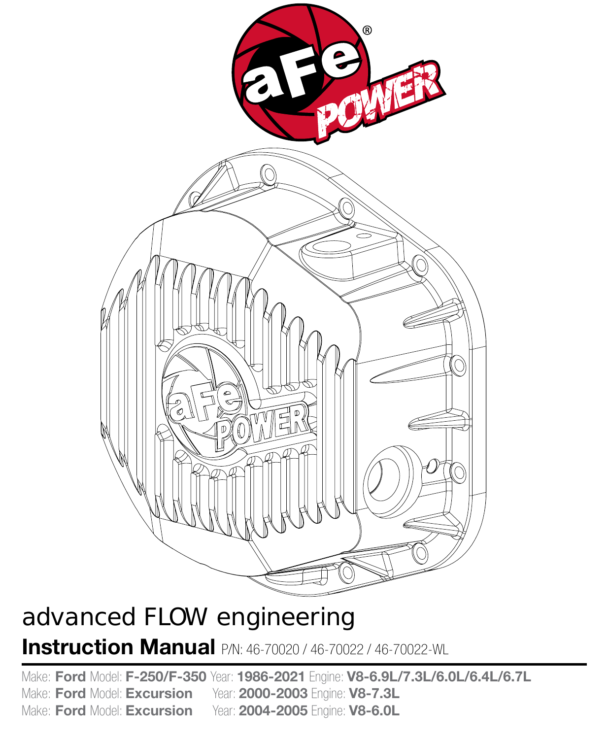

# advanced FLOW engineering

**Instruction Manual** P/N: 46-70020 / 46-70022 / 46-70022-WL

Make: **Ford** Model: **F-250/F-350** Year: **1986-2021** Engine: **V8-6.9L/7.3L/6.0L/6.4L/6.7L** Make: **Ford** Model: **Excursion** Year: **2000-2003** Engine: **V8-7.3L** Make: **Ford** Model: **Excursion** Year: **2004-2005** Engine: **V8-6.0L**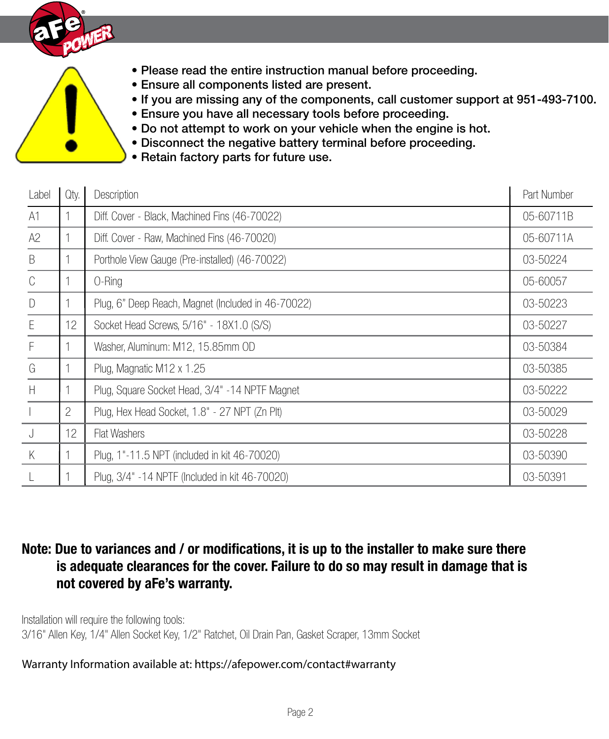

- Please read the entire instruction manual before proceeding.
- Ensure all components listed are present.
- If you are missing any of the components, call customer support at 951-493-7100.
- Ensure you have all necessary tools before proceeding.
- Do not attempt to work on your vehicle when the engine is hot.
- Disconnect the negative battery terminal before proceeding.
- Retain factory parts for future use.

| Label         | Qty.           | Description                                        | Part Number |
|---------------|----------------|----------------------------------------------------|-------------|
| A1            |                | Diff. Cover - Black, Machined Fins (46-70022)      | 05-60711B   |
| A2            |                | Diff. Cover - Raw, Machined Fins (46-70020)        | 05-60711A   |
| $\mathsf B$   |                | Porthole View Gauge (Pre-installed) (46-70022)     | 03-50224    |
| $\mathcal{C}$ |                | 0-Ring                                             | 05-60057    |
| $\Box$        |                | Plug, 6" Deep Reach, Magnet (Included in 46-70022) | 03-50223    |
| E             | 12             | Socket Head Screws, 5/16" - 18X1.0 (S/S)           | 03-50227    |
| F             |                | Washer, Aluminum: M12, 15.85mm OD                  | 03-50384    |
| G             |                | Plug, Magnatic M12 x 1.25                          | 03-50385    |
| H             |                | Plug, Square Socket Head, 3/4" -14 NPTF Magnet     | 03-50222    |
|               | $\overline{2}$ | Plug, Hex Head Socket, 1.8" - 27 NPT (Zn Plt)      | 03-50029    |
| J             | 12             | Flat Washers                                       | 03-50228    |
| K             |                | Plug, 1"-11.5 NPT (included in kit 46-70020)       | 03-50390    |
|               |                | Plug, 3/4" -14 NPTF (Included in kit 46-70020)     | 03-50391    |

# **Note: Due to variances and / or modifications, it is up to the installer to make sure there is adequate clearances for the cover. Failure to do so may result in damage that is not covered by aFe's warranty.**

Installation will require the following tools: 3/16" Allen Key, 1/4" Allen Socket Key, 1/2" Ratchet, Oil Drain Pan, Gasket Scraper, 13mm Socket

#### Warranty Information available at: https://afepower.com/contact#warranty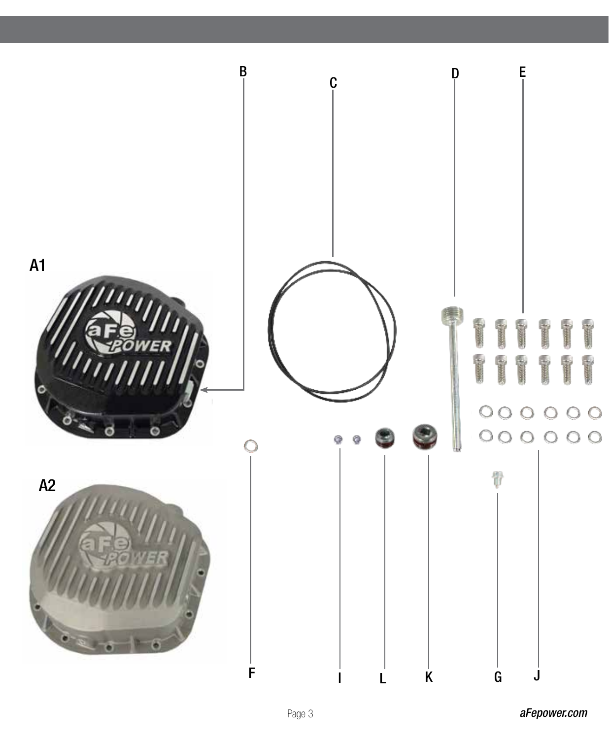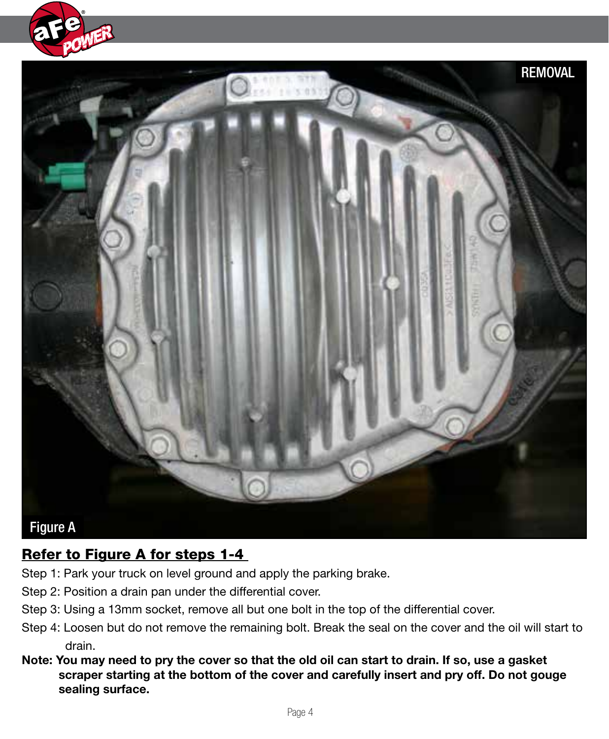



# Refer to Figure A for steps 1-4

- Step 1: Park your truck on level ground and apply the parking brake.
- Step 2: Position a drain pan under the differential cover.
- Step 3: Using a 13mm socket, remove all but one bolt in the top of the differential cover.
- Step 4: Loosen but do not remove the remaining bolt. Break the seal on the cover and the oil will start to drain.
- **Note: You may need to pry the cover so that the old oil can start to drain. If so, use a gasket scraper starting at the bottom of the cover and carefully insert and pry off. Do not gouge sealing surface.**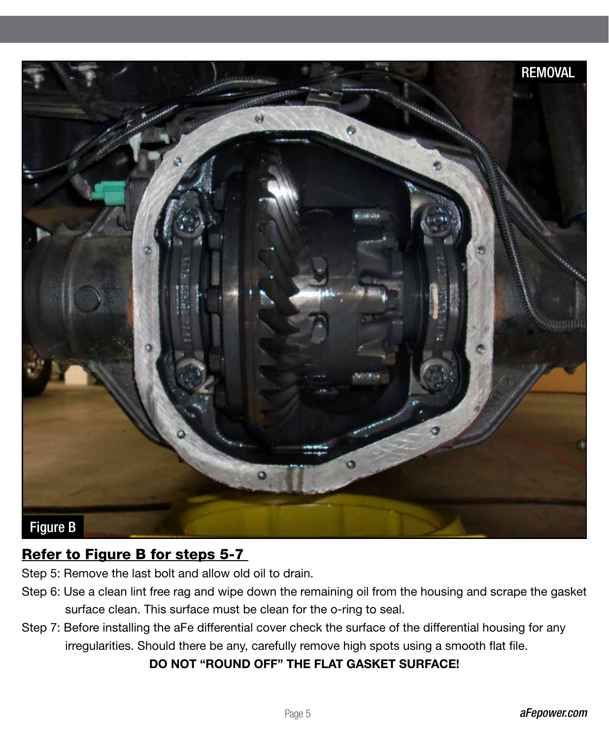

# Refer to Figure B for steps 5-7

Step 5: Remove the last bolt and allow old oil to drain.

- Step 6: Use a clean lint free rag and wipe down the remaining oil from the housing and scrape the gasket surface clean. This surface must be clean for the o-ring to seal.
- Step 7: Before installing the aFe differential cover check the surface of the differential housing for any irregularities. Should there be any, carefully remove high spots using a smooth flat file.

#### **DO NOT "ROUND OFF" THE FLAT GASKET SURFACE!**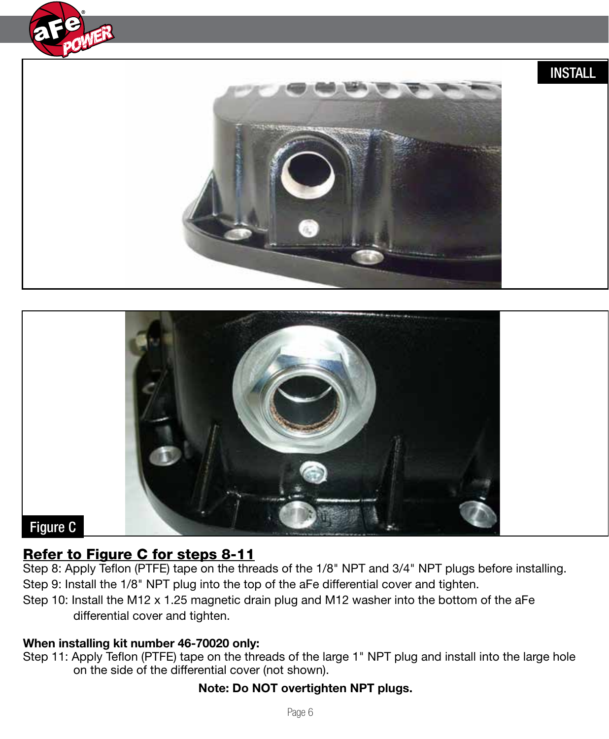

# INSTALL





### Refer to Figure C for steps 8-11

Step 8: Apply Teflon (PTFE) tape on the threads of the 1/8" NPT and 3/4" NPT plugs before installing. Step 9: Install the 1/8" NPT plug into the top of the aFe differential cover and tighten.

Step 10: Install the M12 x 1.25 magnetic drain plug and M12 washer into the bottom of the aFe differential cover and tighten.

#### **When installing kit number 46-70020 only:**

Step 11: Apply Teflon (PTFE) tape on the threads of the large 1" NPT plug and install into the large hole on the side of the differential cover (not shown).

#### **Note: Do NOT overtighten NPT plugs.**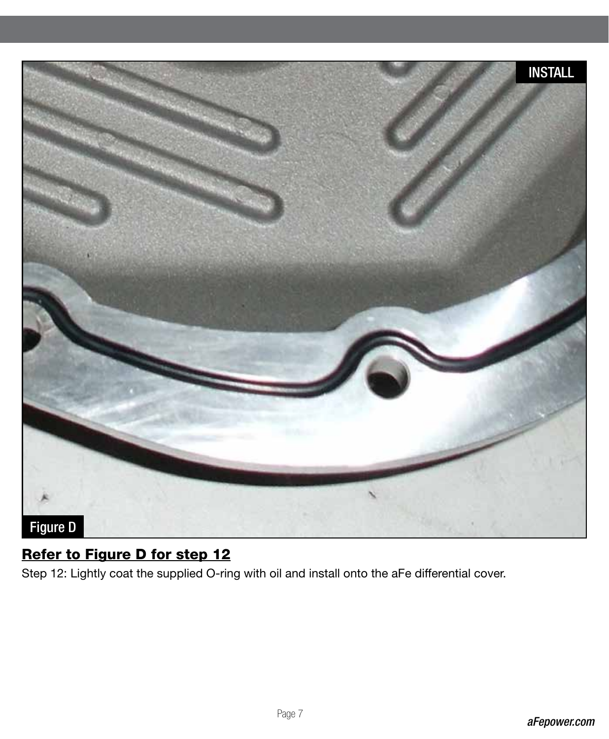

# Refer to Figure D for step 12

Step 12: Lightly coat the supplied O-ring with oil and install onto the aFe differential cover.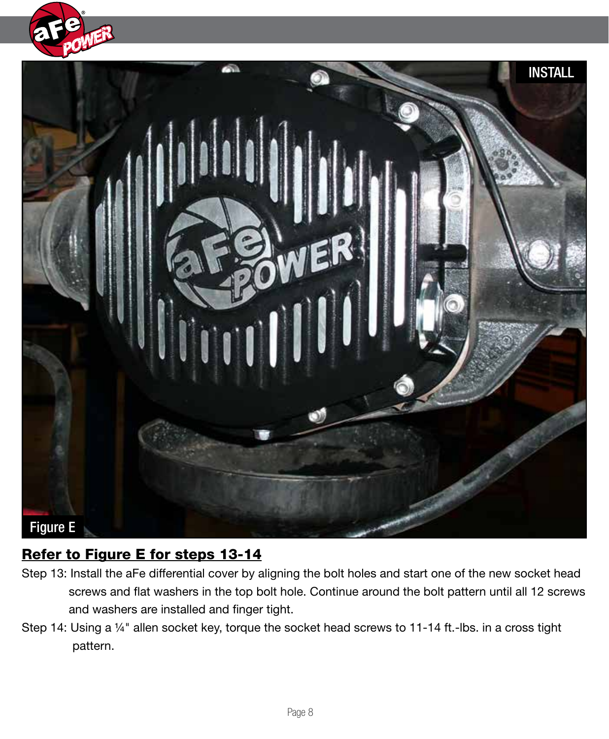



# Refer to Figure E for steps 13-14

- Step 13: Install the aFe differential cover by aligning the bolt holes and start one of the new socket head screws and flat washers in the top bolt hole. Continue around the bolt pattern until all 12 screws and washers are installed and finger tight.
- Step 14: Using a ¼" allen socket key, torque the socket head screws to 11-14 ft.-lbs. in a cross tight pattern.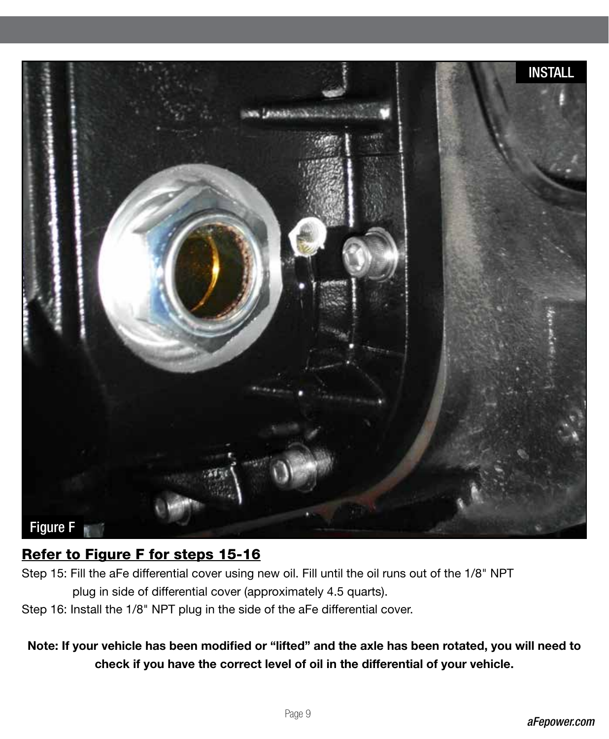

# Refer to Figure F for steps 15-16

- Step 15: Fill the aFe differential cover using new oil. Fill until the oil runs out of the 1/8" NPT plug in side of differential cover (approximately 4.5 quarts).
- Step 16: Install the 1/8" NPT plug in the side of the aFe differential cover.

**Note: If your vehicle has been modified or "lifted" and the axle has been rotated, you will need to check if you have the correct level of oil in the differential of your vehicle.**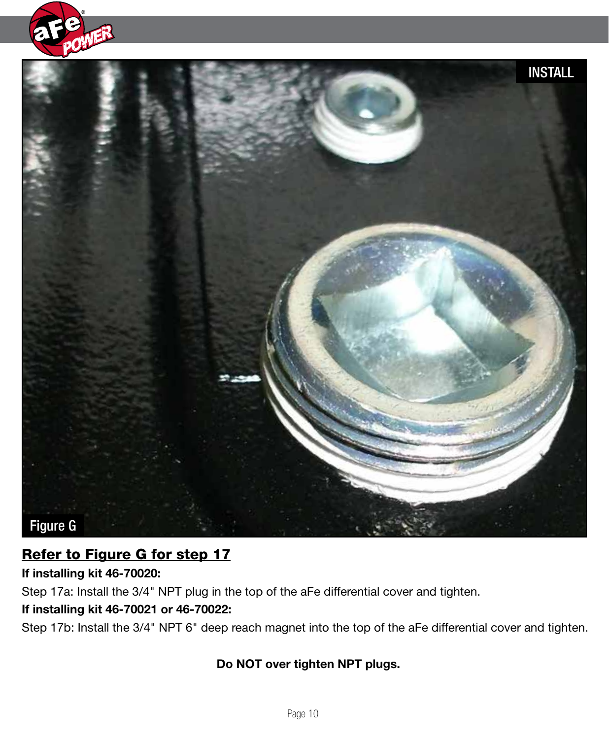



# Refer to Figure G for step 17

**If installing kit 46-70020:**

Step 17a: Install the 3/4" NPT plug in the top of the aFe differential cover and tighten.

### **If installing kit 46-70021 or 46-70022:**

Step 17b: Install the 3/4" NPT 6" deep reach magnet into the top of the aFe differential cover and tighten.

### **Do NOT over tighten NPT plugs.**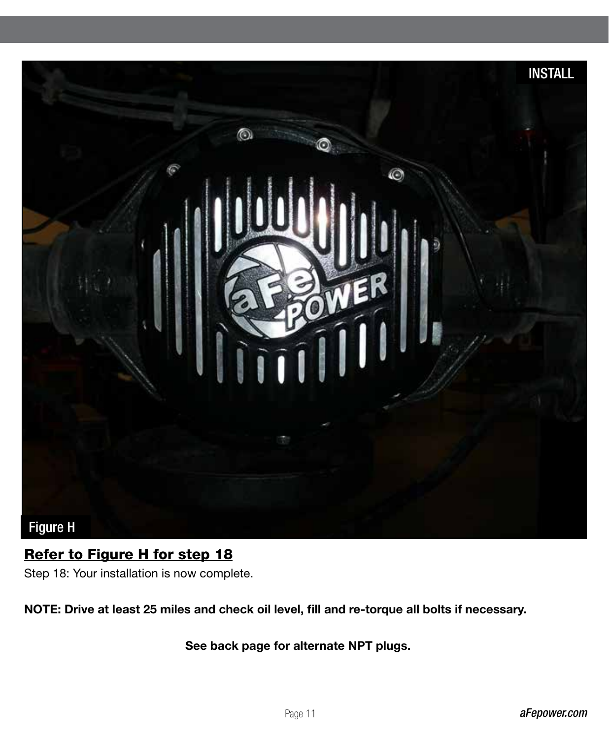

# Refer to Figure H for step 18

Step 18: Your installation is now complete.

**NOTE: Drive at least 25 miles and check oil level, fill and re-torque all bolts if necessary.**

 **See back page for alternate NPT plugs.**